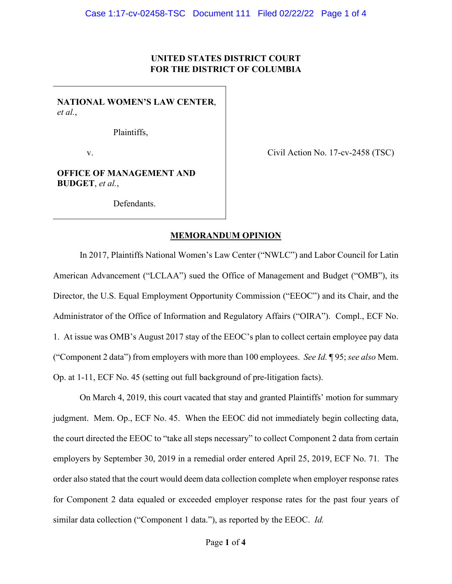# **UNITED STATES DISTRICT COURT FOR THE DISTRICT OF COLUMBIA**

**NATIONAL WOMEN'S LAW CENTER**, *et al.*,

Plaintiffs,

v.

Civil Action No. 17-cv-2458 (TSC)

**OFFICE OF MANAGEMENT AND BUDGET**, *et al.*,

Defendants.

### **MEMORANDUM OPINION**

In 2017, Plaintiffs National Women's Law Center ("NWLC") and Labor Council for Latin American Advancement ("LCLAA") sued the Office of Management and Budget ("OMB"), its Director, the U.S. Equal Employment Opportunity Commission ("EEOC") and its Chair, and the Administrator of the Office of Information and Regulatory Affairs ("OIRA"). Compl., ECF No. 1. At issue was OMB's August 2017 stay of the EEOC's plan to collect certain employee pay data ("Component 2 data") from employers with more than 100 employees. *See Id.* ¶ 95; *see also* Mem. Op. at 1-11, ECF No. 45 (setting out full background of pre-litigation facts).

On March 4, 2019, this court vacated that stay and granted Plaintiffs' motion for summary judgment. Mem. Op., ECF No. 45. When the EEOC did not immediately begin collecting data, the court directed the EEOC to "take all steps necessary" to collect Component 2 data from certain employers by September 30, 2019 in a remedial order entered April 25, 2019, ECF No. 71*.* The order also stated that the court would deem data collection complete when employer response rates for Component 2 data equaled or exceeded employer response rates for the past four years of similar data collection ("Component 1 data."), as reported by the EEOC. *Id.*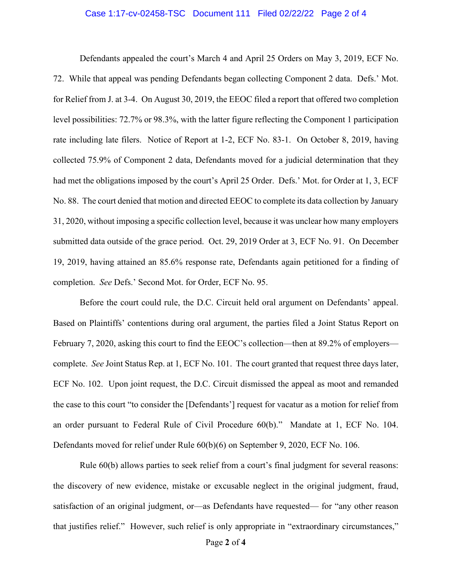### Case 1:17-cv-02458-TSC Document 111 Filed 02/22/22 Page 2 of 4

Defendants appealed the court's March 4 and April 25 Orders on May 3, 2019, ECF No. 72. While that appeal was pending Defendants began collecting Component 2 data. Defs.' Mot. for Relief from J. at 3-4. On August 30, 2019, the EEOC filed a report that offered two completion level possibilities: 72.7% or 98.3%, with the latter figure reflecting the Component 1 participation rate including late filers. Notice of Report at 1-2, ECF No. 83-1. On October 8, 2019, having collected 75.9% of Component 2 data, Defendants moved for a judicial determination that they had met the obligations imposed by the court's April 25 Order. Defs.' Mot. for Order at 1, 3, ECF No. 88. The court denied that motion and directed EEOC to complete its data collection by January 31, 2020, without imposing a specific collection level, because it was unclear how many employers submitted data outside of the grace period. Oct. 29, 2019 Order at 3, ECF No. 91. On December 19, 2019, having attained an 85.6% response rate, Defendants again petitioned for a finding of completion. *See* Defs.' Second Mot. for Order, ECF No. 95.

Before the court could rule, the D.C. Circuit held oral argument on Defendants' appeal. Based on Plaintiffs' contentions during oral argument, the parties filed a Joint Status Report on February 7, 2020, asking this court to find the EEOC's collection—then at 89.2% of employers complete. *See* Joint Status Rep. at 1, ECF No. 101. The court granted that request three days later, ECF No. 102. Upon joint request, the D.C. Circuit dismissed the appeal as moot and remanded the case to this court "to consider the [Defendants'] request for vacatur as a motion for relief from an order pursuant to Federal Rule of Civil Procedure 60(b)." Mandate at 1, ECF No. 104. Defendants moved for relief under Rule 60(b)(6) on September 9, 2020, ECF No. 106.

Rule 60(b) allows parties to seek relief from a court's final judgment for several reasons: the discovery of new evidence, mistake or excusable neglect in the original judgment, fraud, satisfaction of an original judgment, or—as Defendants have requested— for "any other reason that justifies relief." However, such relief is only appropriate in "extraordinary circumstances,"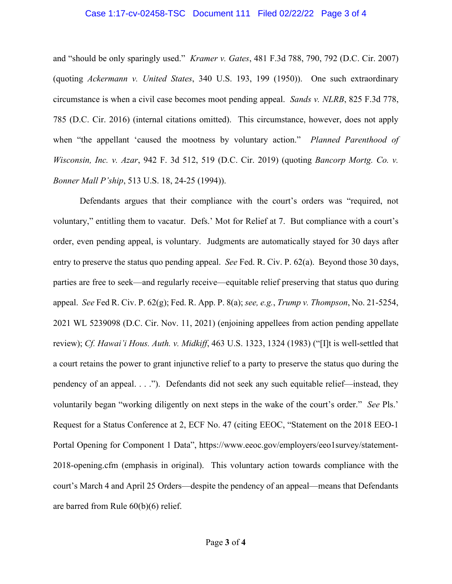### Case 1:17-cv-02458-TSC Document 111 Filed 02/22/22 Page 3 of 4

and "should be only sparingly used." *Kramer v. Gates*, 481 F.3d 788, 790, 792 (D.C. Cir. 2007) (quoting *Ackermann v. United States*, 340 U.S. 193, 199 (1950)). One such extraordinary circumstance is when a civil case becomes moot pending appeal. *Sands v. NLRB*, 825 F.3d 778, 785 (D.C. Cir. 2016) (internal citations omitted). This circumstance, however, does not apply when "the appellant 'caused the mootness by voluntary action." *Planned Parenthood of Wisconsin, Inc. v. Azar*, 942 F. 3d 512, 519 (D.C. Cir. 2019) (quoting *Bancorp Mortg. Co. v. Bonner Mall P'ship*, 513 U.S. 18, 24-25 (1994)).

Defendants argues that their compliance with the court's orders was "required, not voluntary," entitling them to vacatur. Defs.' Mot for Relief at 7. But compliance with a court's order, even pending appeal, is voluntary. Judgments are automatically stayed for 30 days after entry to preserve the status quo pending appeal. *See* Fed. R. Civ. P. 62(a). Beyond those 30 days, parties are free to seek—and regularly receive—equitable relief preserving that status quo during appeal. *See* Fed R. Civ. P. 62(g); Fed. R. App. P. 8(a); *see, e.g.*, *Trump v. Thompson*, No. 21-5254, 2021 WL 5239098 (D.C. Cir. Nov. 11, 2021) (enjoining appellees from action pending appellate review); *Cf. Hawai'i Hous. Auth. v. Midkiff*, 463 U.S. 1323, 1324 (1983) ("[I]t is well-settled that a court retains the power to grant injunctive relief to a party to preserve the status quo during the pendency of an appeal. . . ."). Defendants did not seek any such equitable relief—instead, they voluntarily began "working diligently on next steps in the wake of the court's order." *See* Pls.' Request for a Status Conference at 2, ECF No. 47 (citing EEOC, "Statement on the 2018 EEO-1 Portal Opening for Component 1 Data", https://www.eeoc.gov/employers/eeo1survey/statement-2018-opening.cfm (emphasis in original). This voluntary action towards compliance with the court's March 4 and April 25 Orders—despite the pendency of an appeal—means that Defendants are barred from Rule 60(b)(6) relief.